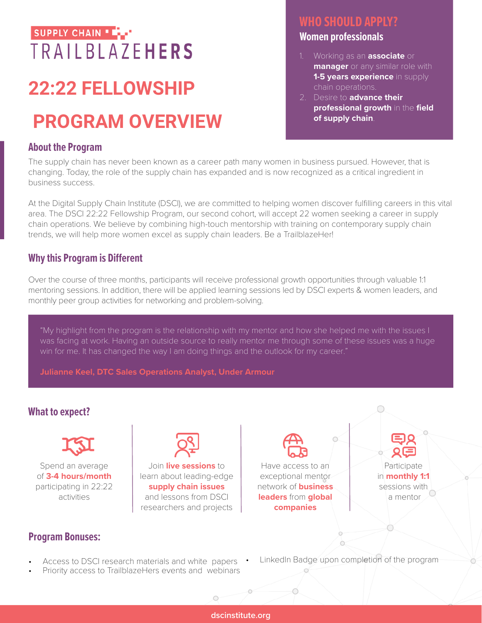## SUPPLY CHAIN \* **TRAILBLAZEHERS**

# **22:22 FELLOWSHIP**

# **PROGRAM OVERVIEW**

#### **About the Program**

### **WHO SHOULD APPLY?**

#### **Women professionals**

- 1. Working as an **associate** or **manager** or any similar role with **1-5 years experience** in supply chain operations.
- 2. Desire to **advance their professional growth** in the **field of supply chain**.

The supply chain has never been known as a career path many women in business pursued. However, that is changing. Today, the role of the supply chain has expanded and is now recognized as a critical ingredient in business success.

At the Digital Supply Chain Institute (DSCI), we are committed to helping women discover fulfilling careers in this vital area. The DSCI 22:22 Fellowship Program, our second cohort, will accept 22 women seeking a career in supply chain operations. We believe by combining high-touch mentorship with training on contemporary supply chain trends, we will help more women excel as supply chain leaders. Be a TrailblazeHer!

#### **Why this Program is Different**

Over the course of three months, participants will receive professional growth opportunities through valuable 1:1 mentoring sessions. In addition, there will be applied learning sessions led by DSCI experts & women leaders, and monthly peer group activities for networking and problem-solving.

"My highlight from the program is the relationship with my mentor and how she helped me with the issues I was facing at work. Having an outside source to really mentor me through some of these issues was a huge win for me. It has changed the way I am doing things and the outlook for my career."

**Julianne Keel, DTC Sales Operations Analyst, Under Armour**

#### **What to expect?**



Spend an average of **3-4 hours/month**  participating in 22:22 activities



Join **live sessions** to learn about leading-edge **supply chain issues** and lessons from DSCI researchers and projects

Have access to an exceptional mentor network of **business leaders** from **global companies**

Participate

in **monthly 1:1**  sessions with a mentor

- Access to DSCI research materials and white papers
- Priority access to TrailblazeHers events and webinars
- LinkedIn Badge upon completion of the program

**dscinstitute.org**